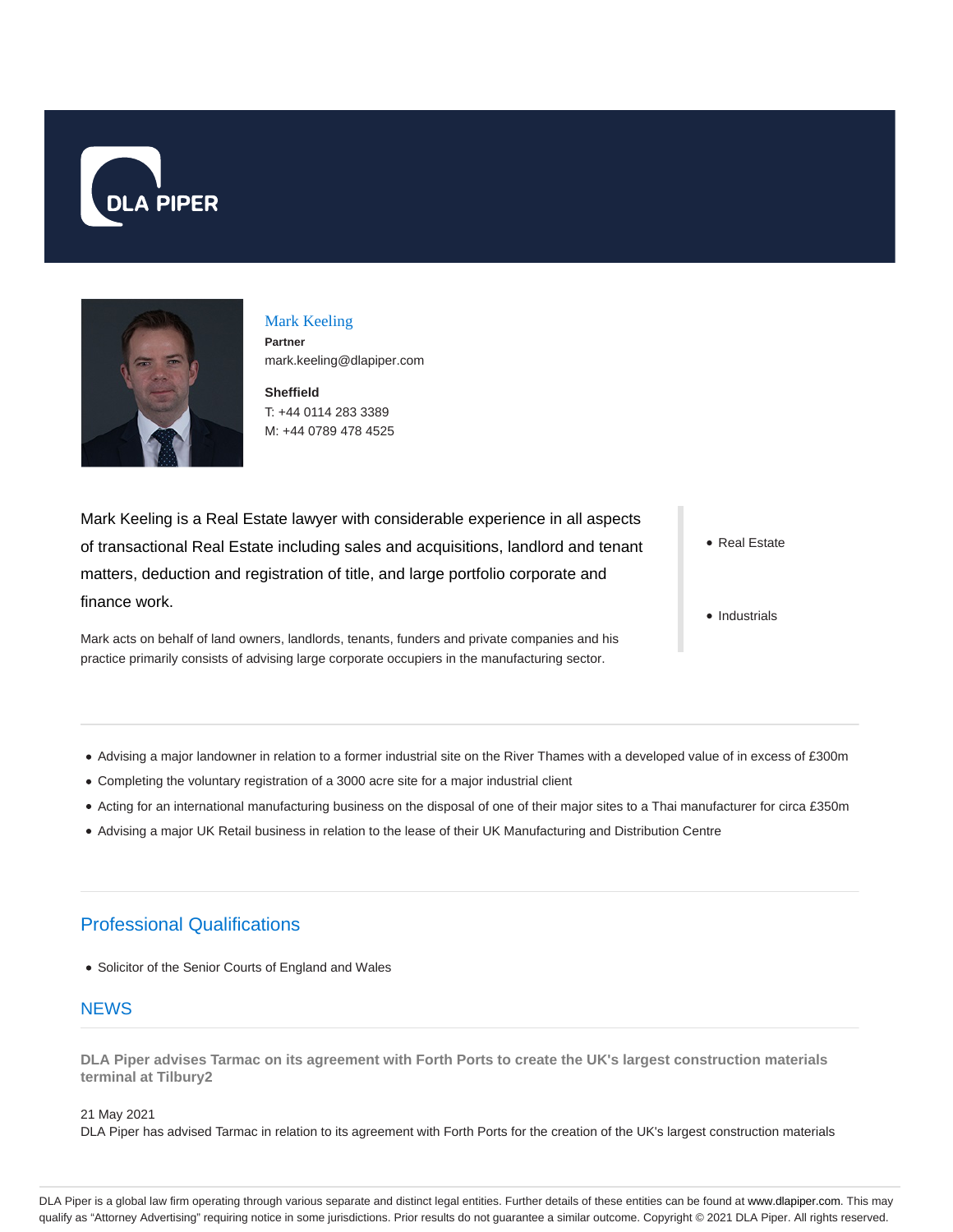



Mark Keeling **Partner** mark.keeling@dlapiper.com

**Sheffield** T: +44 0114 283 3389 M: +44 0789 478 4525

Mark Keeling is a Real Estate lawyer with considerable experience in all aspects of transactional Real Estate including sales and acquisitions, landlord and tenant matters, deduction and registration of title, and large portfolio corporate and finance work.

Mark acts on behalf of land owners, landlords, tenants, funders and private companies and his practice primarily consists of advising large corporate occupiers in the manufacturing sector.

• Real Estate

• Industrials

- Advising a major landowner in relation to a former industrial site on the River Thames with a developed value of in excess of £300m
- Completing the voluntary registration of a 3000 acre site for a major industrial client
- Acting for an international manufacturing business on the disposal of one of their major sites to a Thai manufacturer for circa £350m
- Advising a major UK Retail business in relation to the lease of their UK Manufacturing and Distribution Centre

## Professional Qualifications

Solicitor of the Senior Courts of England and Wales

## **NEWS**

**DLA Piper advises Tarmac on its agreement with Forth Ports to create the UK's largest construction materials terminal at Tilbury2**

21 May 2021

DLA Piper has advised Tarmac in relation to its agreement with Forth Ports for the creation of the UK's largest construction materials

DLA Piper is a global law firm operating through various separate and distinct legal entities. Further details of these entities can be found at www.dlapiper.com. This may qualify as "Attorney Advertising" requiring notice in some jurisdictions. Prior results do not guarantee a similar outcome. Copyright @ 2021 DLA Piper. All rights reserved.